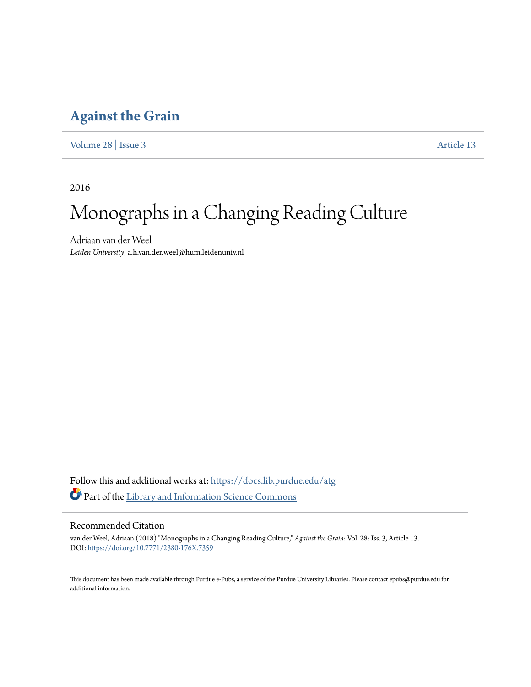## **[Against the Grain](https://docs.lib.purdue.edu/atg?utm_source=docs.lib.purdue.edu%2Fatg%2Fvol28%2Fiss3%2F13&utm_medium=PDF&utm_campaign=PDFCoverPages)**

[Volume 28](https://docs.lib.purdue.edu/atg/vol28?utm_source=docs.lib.purdue.edu%2Fatg%2Fvol28%2Fiss3%2F13&utm_medium=PDF&utm_campaign=PDFCoverPages) | [Issue 3](https://docs.lib.purdue.edu/atg/vol28/iss3?utm_source=docs.lib.purdue.edu%2Fatg%2Fvol28%2Fiss3%2F13&utm_medium=PDF&utm_campaign=PDFCoverPages) [Article 13](https://docs.lib.purdue.edu/atg/vol28/iss3/13?utm_source=docs.lib.purdue.edu%2Fatg%2Fvol28%2Fiss3%2F13&utm_medium=PDF&utm_campaign=PDFCoverPages)

2016

# Monographs in a Changing Reading Culture

Adriaan van der Weel *Leiden University*, a.h.van.der.weel@hum.leidenuniv.nl

Follow this and additional works at: [https://docs.lib.purdue.edu/atg](https://docs.lib.purdue.edu/atg?utm_source=docs.lib.purdue.edu%2Fatg%2Fvol28%2Fiss3%2F13&utm_medium=PDF&utm_campaign=PDFCoverPages) Part of the [Library and Information Science Commons](http://network.bepress.com/hgg/discipline/1018?utm_source=docs.lib.purdue.edu%2Fatg%2Fvol28%2Fiss3%2F13&utm_medium=PDF&utm_campaign=PDFCoverPages)

### Recommended Citation

van der Weel, Adriaan (2018) "Monographs in a Changing Reading Culture," *Against the Grain*: Vol. 28: Iss. 3, Article 13. DOI: <https://doi.org/10.7771/2380-176X.7359>

This document has been made available through Purdue e-Pubs, a service of the Purdue University Libraries. Please contact epubs@purdue.edu for additional information.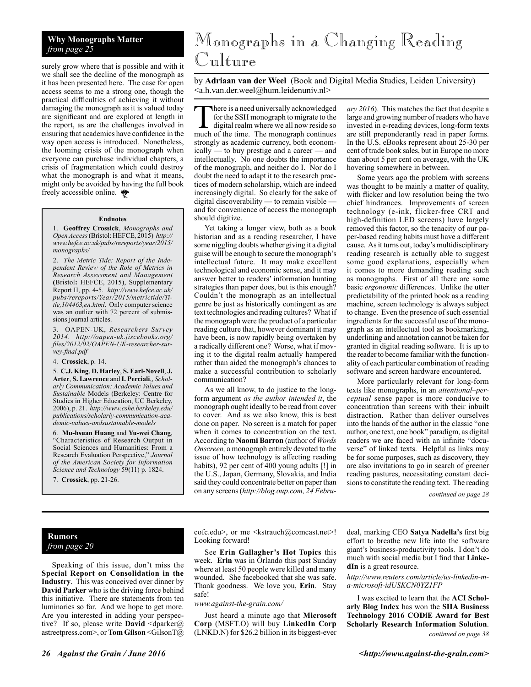# **Why Monographs Matter**

surely grow where that is possible and with it we shall see the decline of the monograph as it has been presented here. The case for open access seems to me a strong one, though the practical difficulties of achieving it without damaging the monograph as it is valued today are significant and are explored at length in the report, as are the challenges involved in ensuring that academics have confidence in the way open access is introduced. Nonetheless, the looming crisis of the monograph when everyone can purchase individual chapters, a crisis of fragmentation which could destroy what the monograph is and what it means, might only be avoided by having the full book freely accessible online.

#### **Endnotes**

1. **Geoffrey Crossick**, *Monographs and Open Access* (Bristol: HEFCE, 2015) *http:// www.hefce.ac.uk/pubs/rereports/year/2015/ monographs/*

2. *The Metric Tide: Report of the Independent Review of the Role of Metrics in Research Assessment and Management* **(**Bristol**:** HEFCE, 2015), Supplementary Report II, pp. 4-5. *http://www.hefce.ac.uk/ pubs/rereports/Year/2015/metrictide/Title,104463,en.html*. Only computer science was an outlier with 72 percent of submissions journal articles.

3. OAPEN-UK, *Researchers Survey 2014*. *http://oapen-uk.jiscebooks.org/ files/2012/02/OAPEN-UK-researcher-survey-final.pdf*

4. **Crossick**, p. 14.

5. **C.J. King**, **D. Harley**, **S. Earl-Novell**, **J. Arter**, **S. Lawrence** and **I. Perciali**,, *Scholarly Communication: Academic Values and Sustainable* Models (Berkeley: Centre for Studies in Higher Education, UC Berkeley, 2006), p. 21. *http://www.cshe.berkeley.edu/ publications/scholarly-communication-academic-values-andsustainable-models*

6. **Mu-hsuan Huang** and **Yu-wei Chang**, "Characteristics of Research Output in Social Sciences and Humanities: From a Research Evaluation Perspective," *Journal of the American Society for Information Science and Technology* 59(11) p. 1824.

7. **Crossick**, pp. 21-26.

# *from page 25* Monographs in a Changing Reading Culture

by **Adriaan van der Weel** (Book and Digital Media Studies, Leiden University) <a.h.van.der.weel@hum.leidenuniv.nl>

There is a need universally acknowledged for the SSH monograph to migrate to the digital realm where we all now reside so much of the time. The monograph continues strongly as academic currency, both economically — to buy prestige and a career — and intellectually. No one doubts the importance of the monograph, and neither do I. Nor do I doubt the need to adapt it to the research practices of modern scholarship, which are indeed increasingly digital. So clearly for the sake of digital discoverability — to remain visible and for convenience of access the monograph should digitize.

Yet taking a longer view, both as a book historian and as a reading researcher, I have some niggling doubts whether giving it a digital guise will be enough to secure the monograph's intellectual future. It may make excellent technological and economic sense, and it may answer better to readers' information hunting strategies than paper does, but is this enough? Couldn't the monograph as an intellectual genre be just as historically contingent as are text technologies and reading cultures? What if the monograph were the product of a particular reading culture that, however dominant it may have been, is now rapidly being overtaken by a radically different one? Worse, what if moving it to the digital realm actually hampered rather than aided the monograph's chances to make a successful contribution to scholarly communication?

As we all know, to do justice to the longform argument *as the author intended it*, the monograph ought ideally to be read from cover to cover. And as we also know, this is best done on paper. No screen is a match for paper when it comes to concentration on the text. According to **Naomi Barron** (author of *Words Onscreen,* a monograph entirely devoted to the issue of how technology is affecting reading habits), 92 per cent of 400 young adults [!] in the U.S., Japan, Germany, Slovakia, and India said they could concentrate better on paper than on any screens (*http://blog.oup.com, 24 Febru-* *ary 2016*). This matches the fact that despite a large and growing number of readers who have invested in e-reading devices, long-form texts are still preponderantly read in paper forms. In the U.S. eBooks represent about 25-30 per cent of trade book sales, but in Europe no more than about 5 per cent on average, with the UK hovering somewhere in between.

Some years ago the problem with screens was thought to be mainly a matter of quality, with flicker and low resolution being the two chief hindrances. Improvements of screen technology (e-ink, flicker-free CRT and high-definition LED screens) have largely removed this factor, so the tenacity of our paper-based reading habits must have a different cause. As it turns out, today's multidisciplinary reading research is actually able to suggest some good explanations, especially when it comes to more demanding reading such as monographs. First of all there are some basic *ergonomic* differences. Unlike the utter predictability of the printed book as a reading machine, screen technology is always subject to change. Even the presence of such essential ingredients for the successful use of the monograph as an intellectual tool as bookmarking, underlining and annotation cannot be taken for granted in digital reading software. It is up to the reader to become familiar with the functionality of each particular combination of reading software and screen hardware encountered.

More particularly relevant for long-form texts like monographs, in an *attentional–perceptual* sense paper is more conducive to concentration than screens with their inbuilt distraction. Rather than deliver ourselves into the hands of the author in the classic "one author, one text, one book" paradigm, as digital readers we are faced with an infinite "docuverse" of linked texts. Helpful as links may be for some purposes, such as discovery, they are also invitations to go in search of greener reading pastures, necessitating constant decisions to constitute the reading text. The reading

*continued on page 28*

### **Rumors** *from page 20*

Speaking of this issue, don't miss the **Special Report on Consolidation in the Industry**. This was conceived over dinner by **David Parker** who is the driving force behind this initiative. There are statements from ten luminaries so far. And we hope to get more. Are you interested in adding your perspective? If so, please write **David** <dparker@ astreetpress.com>, or **Tom Gilson** <GilsonT@

cofc.edu>, or me <kstrauch@comcast.net>! Looking forward!

See **Erin Gallagher's Hot Topics** this week. **Erin** was in Orlando this past Sunday where at least 50 people were killed and many wounded. She facebooked that she was safe. Thank goodness. We love you, **Erin**. Stay safe!

#### *www.against-the-grain.com/*

Just heard a minute ago that **Microsoft Corp** (MSFT.O) will buy **LinkedIn Corp** (LNKD.N) for \$26.2 billion in its biggest-ever

deal, marking CEO **Satya Nadella's** first big effort to breathe new life into the software giant's business-productivity tools. I don't do much with social media but I find that **LinkedIn** is a great resource.

*http://www.reuters.com/article/us-linkedin-ma-microsoft-idUSKCN0YZ1FP*

*continued on page 38* I was excited to learn that the **ACI Scholarly Blog Index** has won the **SIIA Business Technology 2016 CODiE Award for Best Scholarly Research Information Solution**.